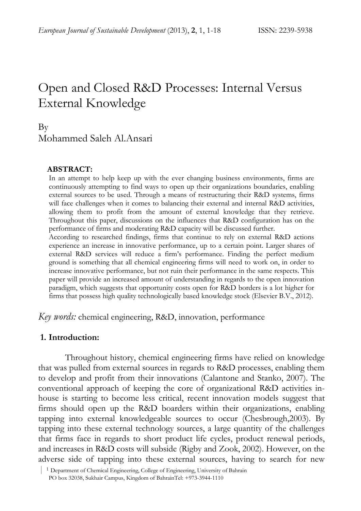# Open and Closed R&D Processes: Internal Versus External Knowledge

# By Mohammed Saleh Al.Ansari

#### **ABSTRACT:**

In an attempt to help keep up with the ever changing business environments, firms are continuously attempting to find ways to open up their organizations boundaries, enabling external sources to be used. Through a means of restructuring their R&D systems, firms will face challenges when it comes to balancing their external and internal R&D activities, allowing them to profit from the amount of external knowledge that they retrieve. Throughout this paper, discussions on the influences that R&D configuration has on the performance of firms and moderating R&D capacity will be discussed further.

According to researched findings, firms that continue to rely on external R&D actions experience an increase in innovative performance, up to a certain point. Larger shares of external R&D services will reduce a firm's performance. Finding the perfect medium ground is something that all chemical engineering firms will need to work on, in order to increase innovative performance, but not ruin their performance in the same respects. This paper will provide an increased amount of understanding in regards to the open innovation paradigm, which suggests that opportunity costs open for R&D borders is a lot higher for firms that possess high quality technologically based knowledge stock (Elsevier B.V., 2012).

*Key words:* chemical engineering, R&D, innovation, performance

#### **1. Introduction:**

Throughout history, chemical engineering firms have relied on knowledge that was pulled from external sources in regards to R&D processes, enabling them to develop and profit from their innovations (Calantone and Stanko, 2007). The conventional approach of keeping the core of organizational R&D activities inhouse is starting to become less critical, recent innovation models suggest that firms should open up the R&D boarders within their organizations, enabling tapping into external knowledgeable sources to occur (Chesbrough,2003). By tapping into these external technology sources, a large quantity of the challenges that firms face in regards to short product life cycles, product renewal periods, and increases in R&D costs will subside (Rigby and Zook, 2002). However, on the adverse side of tapping into these external sources, having to search for new

 <sup>|</sup> <sup>1</sup> Department of Chemical Engineering, College of Engineering, University of Bahrain

PO box 32038, Sukhair Campus, Kingdom of BahrainTel: +973-3944-1110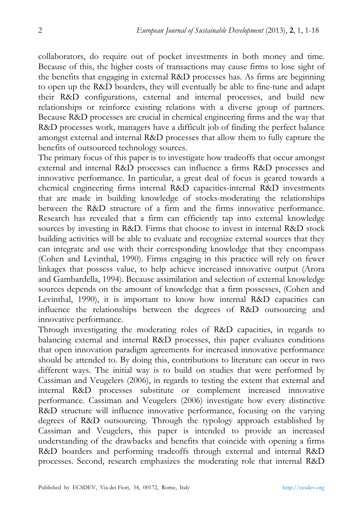collaborators, do require out of pocket investments in both money and time. Because of this, the higher costs of transactions may cause firms to lose sight of the benefits that engaging in external R&D processes has. As firms are beginning to open up the R&D boarders, they will eventually be able to fine-tune and adapt their R&D configurations, external and internal processes, and build new relationships or reinforce existing relations with a diverse group of partners. Because R&D processes are crucial in chemical engineering firms and the way that R&D processes work, managers have a difficult job of finding the perfect balance amongst external and internal R&D processes that allow them to fully capture the benefits of outsourced technology sources.

The primary focus of this paper is to investigate how tradeoffs that occur amongst external and internal R&D processes can influence a firms R&D processes and innovative performance. In particular, a great deal of focus is geared towards a chemical engineering firms internal R&D capacities-internal R&D investments that are made in building knowledge of stocks-moderating the relationships between the R&D structure of a firm and the firms innovative performance. Research has revealed that a firm can efficiently tap into external knowledge sources by investing in R&D. Firms that choose to invest in internal R&D stock building activities will be able to evaluate and recognize external sources that they can integrate and use with their corresponding knowledge that they encompass (Cohen and Levinthal, 1990). Firms engaging in this practice will rely on fewer linkages that possess value, to help achieve increased innovative output (Arora and Gambardella, 1994). Because assimilation and selection of external knowledge sources depends on the amount of knowledge that a firm possesses, (Cohen and Levinthal, 1990), it is important to know how internal R&D capacities can influence the relationships between the degrees of R&D outsourcing and innovative performance.

Through investigating the moderating roles of R&D capacities, in regards to balancing external and internal R&D processes, this paper evaluates conditions that open innovation paradigm agreements for increased innovative performance should be attended to. By doing this, contributions to literature can occur in two different ways. The initial way is to build on studies that were performed by Cassiman and Veugelers (2006), in regards to testing the extent that external and internal R&D processes substitute or complement increased innovative performance. Cassiman and Veugelers (2006) investigate how every distinctive R&D structure will influence innovative performance, focusing on the varying degrees of R&D outsourcing. Through the typology approach established by Cassiman and Veugelers, this paper is intended to provide an increased understanding of the drawbacks and benefits that coincide with opening a firms R&D boarders and performing tradeoffs through external and internal R&D processes. Second, research emphasizes the moderating role that internal R&D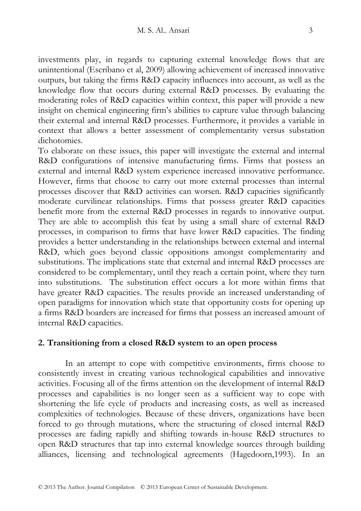investments play, in regards to capturing external knowledge flows that are unintentional (Escribano et al, 2009) allowing achievement of increased innovative outputs, but taking the firms R&D capacity influences into account, as well as the knowledge flow that occurs during external R&D processes. By evaluating the moderating roles of R&D capacities within context, this paper will provide a new insight on chemical engineering firm's abilities to capture value through balancing their external and internal R&D processes. Furthermore, it provides a variable in context that allows a better assessment of complementarity versus substation dichotomies.

To elaborate on these issues, this paper will investigate the external and internal R&D configurations of intensive manufacturing firms. Firms that possess an external and internal R&D system experience increased innovative performance. However, firms that choose to carry out more external processes than internal processes discover that R&D activities can worsen. R&D capacities significantly moderate curvilinear relationships. Firms that possess greater R&D capacities benefit more from the external R&D processes in regards to innovative output. They are able to accomplish this feat by using a small share of external R&D processes, in comparison to firms that have lower R&D capacities. The finding provides a better understanding in the relationships between external and internal R&D, which goes beyond classic oppositions amongst complementarity and substitutions. The implications state that external and internal R&D processes are considered to be complementary, until they reach a certain point, where they turn into substitutions. The substitution effect occurs a lot more within firms that have greater R&D capacities. The results provide an increased understanding of open paradigms for innovation which state that opportunity costs for opening up a firms R&D boarders are increased for firms that possess an increased amount of internal R&D capacities.

#### **2. Transitioning from a closed R&D system to an open process**

In an attempt to cope with competitive environments, firms choose to consistently invest in creating various technological capabilities and innovative activities. Focusing all of the firms attention on the development of internal R&D processes and capabilities is no longer seen as a sufficient way to cope with shortening the life cycle of products and increasing costs, as well as increased complexities of technologies. Because of these drivers, organizations have been forced to go through mutations, where the structuring of closed internal R&D processes are fading rapidly and shifting towards in-house R&D structures to open R&D structures that tap into external knowledge sources through building alliances, licensing and technological agreements (Hagedoorn,1993). In an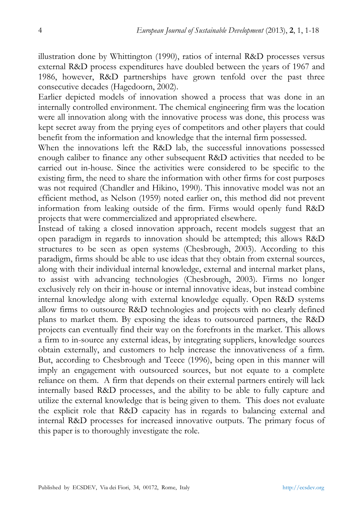illustration done by Whittington (1990), ratios of internal R&D processes versus external R&D process expenditures have doubled between the years of 1967 and 1986, however, R&D partnerships have grown tenfold over the past three consecutive decades (Hagedoorn, 2002).

Earlier depicted models of innovation showed a process that was done in an internally controlled environment. The chemical engineering firm was the location were all innovation along with the innovative process was done, this process was kept secret away from the prying eyes of competitors and other players that could benefit from the information and knowledge that the internal firm possessed.

When the innovations left the R&D lab, the successful innovations possessed enough caliber to finance any other subsequent R&D activities that needed to be carried out in-house. Since the activities were considered to be specific to the existing firm, the need to share the information with other firms for cost purposes was not required (Chandler and Hikino, 1990). This innovative model was not an efficient method, as Nelson (1959) noted earlier on, this method did not prevent information from leaking outside of the firm. Firms would openly fund R&D projects that were commercialized and appropriated elsewhere.

Instead of taking a closed innovation approach, recent models suggest that an open paradigm in regards to innovation should be attempted; this allows R&D structures to be seen as open systems (Chesbrough, 2003). According to this paradigm, firms should be able to use ideas that they obtain from external sources, along with their individual internal knowledge, external and internal market plans, to assist with advancing technologies (Chesbrough, 2003). Firms no longer exclusively rely on their in-house or internal innovative ideas, but instead combine internal knowledge along with external knowledge equally. Open R&D systems allow firms to outsource R&D technologies and projects with no clearly defined plans to market them. By exposing the ideas to outsourced partners, the R&D projects can eventually find their way on the forefronts in the market. This allows a firm to in-source any external ideas, by integrating suppliers, knowledge sources obtain externally, and customers to help increase the innovativeness of a firm. But, according to Chesbrough and Teece (1996), being open in this manner will imply an engagement with outsourced sources, but not equate to a complete reliance on them. A firm that depends on their external partners entirely will lack internally based R&D processes, and the ability to be able to fully capture and utilize the external knowledge that is being given to them. This does not evaluate the explicit role that R&D capacity has in regards to balancing external and internal R&D processes for increased innovative outputs. The primary focus of this paper is to thoroughly investigate the role.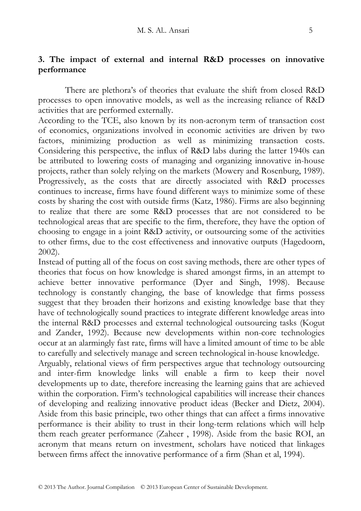# **3. The impact of external and internal R&D processes on innovative performance**

There are plethora's of theories that evaluate the shift from closed R&D processes to open innovative models, as well as the increasing reliance of R&D activities that are performed externally.

According to the TCE, also known by its non-acronym term of transaction cost of economics, organizations involved in economic activities are driven by two factors, minimizing production as well as minimizing transaction costs. Considering this perspective, the influx of R&D labs during the latter 1940s can be attributed to lowering costs of managing and organizing innovative in-house projects, rather than solely relying on the markets (Mowery and Rosenburg, 1989). Progressively, as the costs that are directly associated with R&D processes continues to increase, firms have found different ways to minimize some of these costs by sharing the cost with outside firms (Katz, 1986). Firms are also beginning to realize that there are some R&D processes that are not considered to be technological areas that are specific to the firm, therefore, they have the option of choosing to engage in a joint R&D activity, or outsourcing some of the activities to other firms, due to the cost effectiveness and innovative outputs (Hagedoorn, 2002).

Instead of putting all of the focus on cost saving methods, there are other types of theories that focus on how knowledge is shared amongst firms, in an attempt to achieve better innovative performance (Dyer and Singh, 1998). Because technology is constantly changing, the base of knowledge that firms possess suggest that they broaden their horizons and existing knowledge base that they have of technologically sound practices to integrate different knowledge areas into the internal R&D processes and external technological outsourcing tasks (Kogut and Zander, 1992). Because new developments within non-core technologies occur at an alarmingly fast rate, firms will have a limited amount of time to be able to carefully and selectively manage and screen technological in-house knowledge.

Arguably, relational views of firm perspectives argue that technology outsourcing and inter-firm knowledge links will enable a firm to keep their novel developments up to date, therefore increasing the learning gains that are achieved within the corporation. Firm's technological capabilities will increase their chances of developing and realizing innovative product ideas (Becker and Dietz, 2004). Aside from this basic principle, two other things that can affect a firms innovative performance is their ability to trust in their long-term relations which will help them reach greater performance (Zaheer , 1998). Aside from the basic ROI, an acronym that means return on investment, scholars have noticed that linkages between firms affect the innovative performance of a firm (Shan et al, 1994).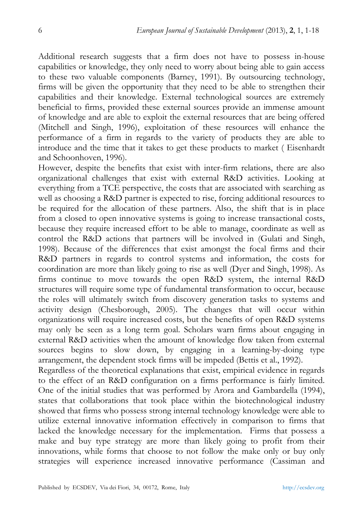Additional research suggests that a firm does not have to possess in-house capabilities or knowledge, they only need to worry about being able to gain access to these two valuable components (Barney, 1991). By outsourcing technology, firms will be given the opportunity that they need to be able to strengthen their capabilities and their knowledge. External technological sources are extremely beneficial to firms, provided these external sources provide an immense amount of knowledge and are able to exploit the external resources that are being offered (Mitchell and Singh, 1996), exploitation of these resources will enhance the performance of a firm in regards to the variety of products they are able to introduce and the time that it takes to get these products to market ( Eisenhardt and Schoonhoven, 1996).

However, despite the benefits that exist with inter-firm relations, there are also organizational challenges that exist with external R&D activities. Looking at everything from a TCE perspective, the costs that are associated with searching as well as choosing a R&D partner is expected to rise, forcing additional resources to be required for the allocation of these partners. Also, the shift that is in place from a closed to open innovative systems is going to increase transactional costs, because they require increased effort to be able to manage, coordinate as well as control the R&D actions that partners will be involved in (Gulati and Singh, 1998). Because of the differences that exist amongst the focal firms and their R&D partners in regards to control systems and information, the costs for coordination are more than likely going to rise as well (Dyer and Singh, 1998). As firms continue to move towards the open R&D system, the internal R&D structures will require some type of fundamental transformation to occur, because the roles will ultimately switch from discovery generation tasks to systems and activity design (Chesborough, 2005). The changes that will occur within organizations will require increased costs, but the benefits of open R&D systems may only be seen as a long term goal. Scholars warn firms about engaging in external R&D activities when the amount of knowledge flow taken from external sources begins to slow down, by engaging in a learning-by-doing type arrangement, the dependent stock firms will be impeded (Bettis et al., 1992).

Regardless of the theoretical explanations that exist, empirical evidence in regards to the effect of an R&D configuration on a firms performance is fairly limited. One of the initial studies that was performed by Arora and Gambardella (1994), states that collaborations that took place within the biotechnological industry showed that firms who possess strong internal technology knowledge were able to utilize external innovative information effectively in comparison to firms that lacked the knowledge necessary for the implementation. Firms that possess a make and buy type strategy are more than likely going to profit from their innovations, while forms that choose to not follow the make only or buy only strategies will experience increased innovative performance (Cassiman and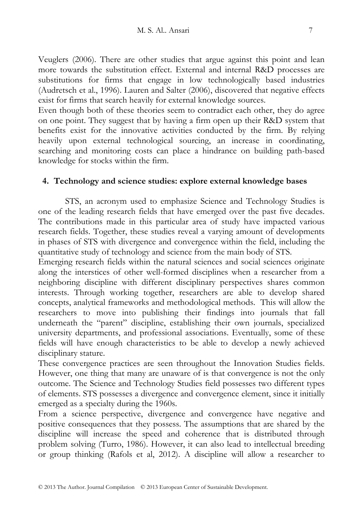Veuglers (2006). There are other studies that argue against this point and lean more towards the substitution effect. External and internal R&D processes are substitutions for firms that engage in low technologically based industries (Audretsch et al., 1996). Lauren and Salter (2006), discovered that negative effects exist for firms that search heavily for external knowledge sources.

Even though both of these theories seem to contradict each other, they do agree on one point. They suggest that by having a firm open up their R&D system that benefits exist for the innovative activities conducted by the firm. By relying heavily upon external technological sourcing, an increase in coordinating, searching and monitoring costs can place a hindrance on building path-based knowledge for stocks within the firm.

#### **4. Technology and science studies: explore external knowledge bases**

STS, an acronym used to emphasize Science and Technology Studies is one of the leading research fields that have emerged over the past five decades. The contributions made in this particular area of study have impacted various research fields. Together, these studies reveal a varying amount of developments in phases of STS with divergence and convergence within the field, including the quantitative study of technology and science from the main body of STS.

Emerging research fields within the natural sciences and social sciences originate along the interstices of other well-formed disciplines when a researcher from a neighboring discipline with different disciplinary perspectives shares common interests. Through working together, researchers are able to develop shared concepts, analytical frameworks and methodological methods. This will allow the researchers to move into publishing their findings into journals that fall underneath the "parent" discipline, establishing their own journals, specialized university departments, and professional associations. Eventually, some of these fields will have enough characteristics to be able to develop a newly achieved disciplinary stature.

These convergence practices are seen throughout the Innovation Studies fields. However, one thing that many are unaware of is that convergence is not the only outcome. The Science and Technology Studies field possesses two different types of elements. STS possesses a divergence and convergence element, since it initially emerged as a specialty during the 1960s.

From a science perspective, divergence and convergence have negative and positive consequences that they possess. The assumptions that are shared by the discipline will increase the speed and coherence that is distributed through problem solving (Turro, 1986). However, it can also lead to intellectual breeding or group thinking (Rafols et al, 2012). A discipline will allow a researcher to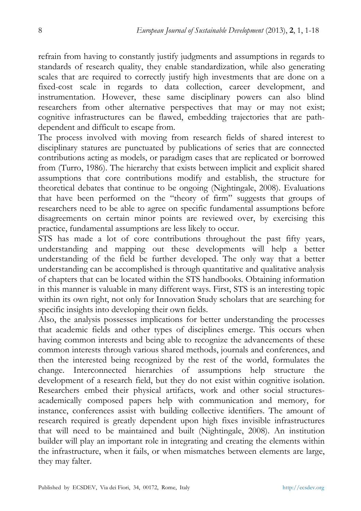refrain from having to constantly justify judgments and assumptions in regards to standards of research quality, they enable standardization, while also generating scales that are required to correctly justify high investments that are done on a fixed-cost scale in regards to data collection, career development, and instrumentation. However, these same disciplinary powers can also blind researchers from other alternative perspectives that may or may not exist; cognitive infrastructures can be flawed, embedding trajectories that are pathdependent and difficult to escape from.

The process involved with moving from research fields of shared interest to disciplinary statures are punctuated by publications of series that are connected contributions acting as models, or paradigm cases that are replicated or borrowed from (Turro, 1986). The hierarchy that exists between implicit and explicit shared assumptions that core contributions modify and establish, the structure for theoretical debates that continue to be ongoing (Nightingale, 2008). Evaluations that have been performed on the "theory of firm" suggests that groups of researchers need to be able to agree on specific fundamental assumptions before disagreements on certain minor points are reviewed over, by exercising this practice, fundamental assumptions are less likely to occur.

STS has made a lot of core contributions throughout the past fifty years, understanding and mapping out these developments will help a better understanding of the field be further developed. The only way that a better understanding can be accomplished is through quantitative and qualitative analysis of chapters that can be located within the STS handbooks. Obtaining information in this manner is valuable in many different ways. First, STS is an interesting topic within its own right, not only for Innovation Study scholars that are searching for specific insights into developing their own fields.

Also, the analysis possesses implications for better understanding the processes that academic fields and other types of disciplines emerge. This occurs when having common interests and being able to recognize the advancements of these common interests through various shared methods, journals and conferences, and then the interested being recognized by the rest of the world, formulates the change. Interconnected hierarchies of assumptions help structure the development of a research field, but they do not exist within cognitive isolation. Researchers embed their physical artifacts, work and other social structuresacademically composed papers help with communication and memory, for instance, conferences assist with building collective identifiers. The amount of research required is greatly dependent upon high fixes invisible infrastructures that will need to be maintained and built (Nightingale, 2008). An institution builder will play an important role in integrating and creating the elements within the infrastructure, when it fails, or when mismatches between elements are large, they may falter.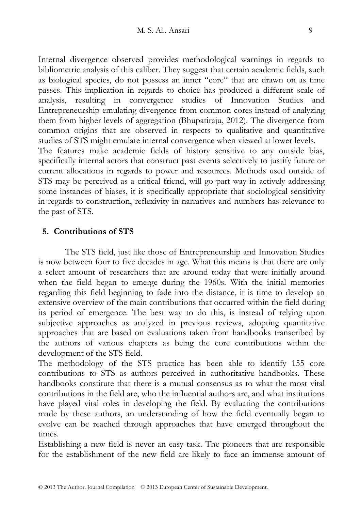Internal divergence observed provides methodological warnings in regards to bibliometric analysis of this caliber. They suggest that certain academic fields, such as biological species, do not possess an inner "core" that are drawn on as time passes. This implication in regards to choice has produced a different scale of analysis, resulting in convergence studies of Innovation Studies and Entrepreneurship emulating divergence from common cores instead of analyzing them from higher levels of aggregation (Bhupatiraju, 2012). The divergence from common origins that are observed in respects to qualitative and quantitative studies of STS might emulate internal convergence when viewed at lower levels. The features make academic fields of history sensitive to any outside bias, specifically internal actors that construct past events selectively to justify future or current allocations in regards to power and resources. Methods used outside of STS may be perceived as a critical friend, will go part way in actively addressing some instances of biases, it is specifically appropriate that sociological sensitivity

in regards to construction, reflexivity in narratives and numbers has relevance to

# **5. Contributions of STS**

the past of STS.

The STS field, just like those of Entrepreneurship and Innovation Studies is now between four to five decades in age. What this means is that there are only a select amount of researchers that are around today that were initially around when the field began to emerge during the 1960s. With the initial memories regarding this field beginning to fade into the distance, it is time to develop an extensive overview of the main contributions that occurred within the field during its period of emergence. The best way to do this, is instead of relying upon subjective approaches as analyzed in previous reviews, adopting quantitative approaches that are based on evaluations taken from handbooks transcribed by the authors of various chapters as being the core contributions within the development of the STS field.

The methodology of the STS practice has been able to identify 155 core contributions to STS as authors perceived in authoritative handbooks. These handbooks constitute that there is a mutual consensus as to what the most vital contributions in the field are, who the influential authors are, and what institutions have played vital roles in developing the field. By evaluating the contributions made by these authors, an understanding of how the field eventually began to evolve can be reached through approaches that have emerged throughout the times.

Establishing a new field is never an easy task. The pioneers that are responsible for the establishment of the new field are likely to face an immense amount of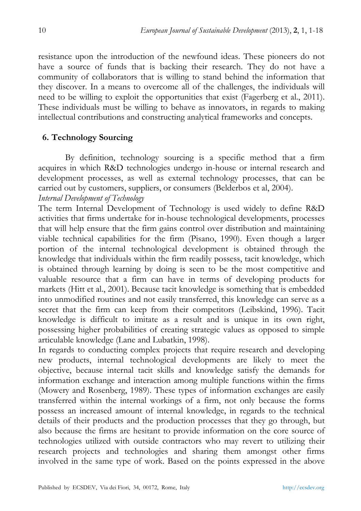resistance upon the introduction of the newfound ideas. These pioneers do not have a source of funds that is backing their research. They do not have a community of collaborators that is willing to stand behind the information that they discover. In a means to overcome all of the challenges, the individuals will need to be willing to exploit the opportunities that exist (Fagerberg et al., 2011). These individuals must be willing to behave as innovators, in regards to making intellectual contributions and constructing analytical frameworks and concepts.

# **6. Technology Sourcing**

By definition, technology sourcing is a specific method that a firm acquires in which R&D technologies undergo in-house or internal research and development processes, as well as external technology processes, that can be carried out by customers, suppliers, or consumers (Belderbos et al, 2004). *Internal Development of Technology* 

The term Internal Development of Technology is used widely to define R&D activities that firms undertake for in-house technological developments, processes that will help ensure that the firm gains control over distribution and maintaining viable technical capabilities for the firm (Pisano, 1990). Even though a larger portion of the internal technological development is obtained through the knowledge that individuals within the firm readily possess, tacit knowledge, which is obtained through learning by doing is seen to be the most competitive and valuable resource that a firm can have in terms of developing products for markets (Hitt et al., 2001). Because tacit knowledge is something that is embedded into unmodified routines and not easily transferred, this knowledge can serve as a secret that the firm can keep from their competitors (Leibskind, 1996). Tacit knowledge is difficult to imitate as a result and is unique in its own right, possessing higher probabilities of creating strategic values as opposed to simple articulable knowledge (Lane and Lubatkin, 1998).

In regards to conducting complex projects that require research and developing new products, internal technological developments are likely to meet the objective, because internal tacit skills and knowledge satisfy the demands for information exchange and interaction among multiple functions within the firms (Mowery and Rosenberg, 1989). These types of information exchanges are easily transferred within the internal workings of a firm, not only because the forms possess an increased amount of internal knowledge, in regards to the technical details of their products and the production processes that they go through, but also because the firms are hesitant to provide information on the core source of technologies utilized with outside contractors who may revert to utilizing their research projects and technologies and sharing them amongst other firms involved in the same type of work. Based on the points expressed in the above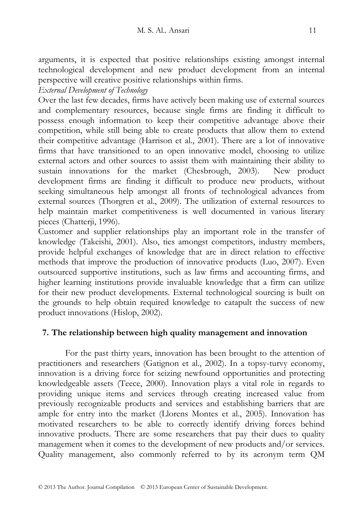arguments, it is expected that positive relationships existing amongst internal technological development and new product development from an internal perspective will creative positive relationships within firms.

*External Development of Technology* 

Over the last few decades, firms have actively been making use of external sources and complementary resources, because single firms are finding it difficult to possess enough information to keep their competitive advantage above their competition, while still being able to create products that allow them to extend their competitive advantage (Harrison et al., 2001). There are a lot of innovative firms that have transitioned to an open innovative model, choosing to utilize external actors and other sources to assist them with maintaining their ability to sustain innovations for the market (Chesbrough, 2003). New product development firms are finding it difficult to produce new products, without seeking simultaneous help amongst all fronts of technological advances from external sources (Thorgren et al., 2009). The utilization of external resources to help maintain market competitiveness is well documented in various literary pieces (Chatterji, 1996).

Customer and supplier relationships play an important role in the transfer of knowledge (Takeishi, 2001). Also, ties amongst competitors, industry members, provide helpful exchanges of knowledge that are in direct relation to effective methods that improve the production of innovative products (Luo, 2007). Even outsourced supportive institutions, such as law firms and accounting firms, and higher learning institutions provide invaluable knowledge that a firm can utilize for their new product developments. External technological sourcing is built on the grounds to help obtain required knowledge to catapult the success of new product innovations (Hislop, 2002).

#### **7. The relationship between high quality management and innovation**

For the past thirty years, innovation has been brought to the attention of practitioners and researchers (Gatignon et al., 2002). In a topsy-turvy economy, innovation is a driving force for seizing newfound opportunities and protecting knowledgeable assets (Teece, 2000). Innovation plays a vital role in regards to providing unique items and services through creating increased value from previously recognizable products and services and establishing barriers that are ample for entry into the market (Llorens Montes et al., 2005). Innovation has motivated researchers to be able to correctly identify driving forces behind innovative products. There are some researchers that pay their dues to quality management when it comes to the development of new products and/or services. Quality management, also commonly referred to by its acronym term QM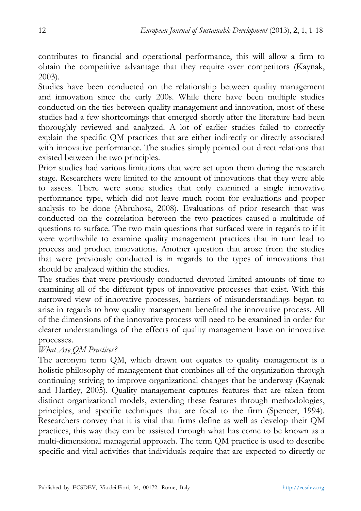contributes to financial and operational performance, this will allow a firm to obtain the competitive advantage that they require over competitors (Kaynak, 2003).

Studies have been conducted on the relationship between quality management and innovation since the early 200s. While there have been multiple studies conducted on the ties between quality management and innovation, most of these studies had a few shortcomings that emerged shortly after the literature had been thoroughly reviewed and analyzed. A lot of earlier studies failed to correctly explain the specific QM practices that are either indirectly or directly associated with innovative performance. The studies simply pointed out direct relations that existed between the two principles.

Prior studies had various limitations that were set upon them during the research stage. Researchers were limited to the amount of innovations that they were able to assess. There were some studies that only examined a single innovative performance type, which did not leave much room for evaluations and proper analysis to be done (Abruhosa, 2008). Evaluations of prior research that was conducted on the correlation between the two practices caused a multitude of questions to surface. The two main questions that surfaced were in regards to if it were worthwhile to examine quality management practices that in turn lead to process and product innovations. Another question that arose from the studies that were previously conducted is in regards to the types of innovations that should be analyzed within the studies.

The studies that were previously conducted devoted limited amounts of time to examining all of the different types of innovative processes that exist. With this narrowed view of innovative processes, barriers of misunderstandings began to arise in regards to how quality management benefited the innovative process. All of the dimensions of the innovative process will need to be examined in order for clearer understandings of the effects of quality management have on innovative processes.

#### *What Are QM Practices?*

The acronym term QM, which drawn out equates to quality management is a holistic philosophy of management that combines all of the organization through continuing striving to improve organizational changes that be underway (Kaynak and Hartley, 2005). Quality management captures features that are taken from distinct organizational models, extending these features through methodologies, principles, and specific techniques that are focal to the firm (Spencer, 1994). Researchers convey that it is vital that firms define as well as develop their QM practices, this way they can be assisted through what has come to be known as a multi-dimensional managerial approach. The term QM practice is used to describe specific and vital activities that individuals require that are expected to directly or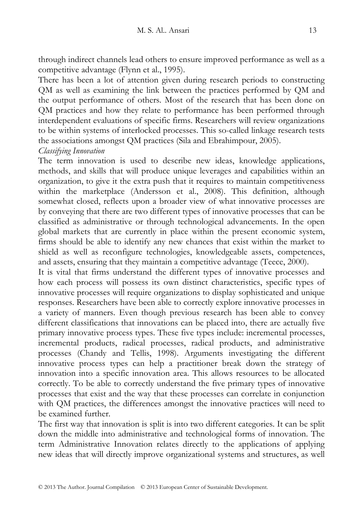through indirect channels lead others to ensure improved performance as well as a competitive advantage (Flynn et al., 1995).

There has been a lot of attention given during research periods to constructing QM as well as examining the link between the practices performed by QM and the output performance of others. Most of the research that has been done on QM practices and how they relate to performance has been performed through interdependent evaluations of specific firms. Researchers will review organizations to be within systems of interlocked processes. This so-called linkage research tests the associations amongst QM practices (Sila and Ebrahimpour, 2005). *Classifying Innovation* 

The term innovation is used to describe new ideas, knowledge applications, methods, and skills that will produce unique leverages and capabilities within an organization, to give it the extra push that it requires to maintain competitiveness within the marketplace (Andersson et al., 2008). This definition, although somewhat closed, reflects upon a broader view of what innovative processes are by conveying that there are two different types of innovative processes that can be classified as administrative or through technological advancements. In the open global markets that are currently in place within the present economic system, firms should be able to identify any new chances that exist within the market to shield as well as reconfigure technologies, knowledgeable assets, competences, and assets, ensuring that they maintain a competitive advantage (Teece, 2000).

It is vital that firms understand the different types of innovative processes and how each process will possess its own distinct characteristics, specific types of innovative processes will require organizations to display sophisticated and unique responses. Researchers have been able to correctly explore innovative processes in a variety of manners. Even though previous research has been able to convey different classifications that innovations can be placed into, there are actually five primary innovative process types. These five types include: incremental processes, incremental products, radical processes, radical products, and administrative processes (Chandy and Tellis, 1998). Arguments investigating the different innovative process types can help a practitioner break down the strategy of innovation into a specific innovation area. This allows resources to be allocated correctly. To be able to correctly understand the five primary types of innovative processes that exist and the way that these processes can correlate in conjunction with QM practices, the differences amongst the innovative practices will need to be examined further.

The first way that innovation is split is into two different categories. It can be split down the middle into administrative and technological forms of innovation. The term Administrative Innovation relates directly to the applications of applying new ideas that will directly improve organizational systems and structures, as well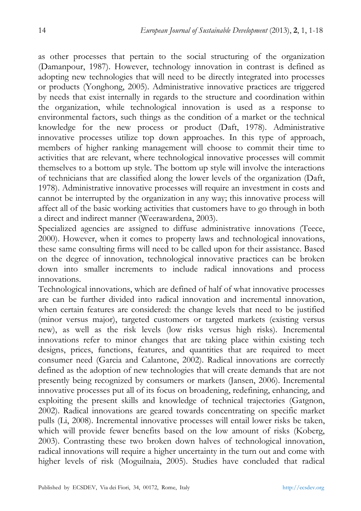as other processes that pertain to the social structuring of the organization (Damanpour, 1987). However, technology innovation in contrast is defined as adopting new technologies that will need to be directly integrated into processes or products (Yonghong, 2005). Administrative innovative practices are triggered by needs that exist internally in regards to the structure and coordination within the organization, while technological innovation is used as a response to environmental factors, such things as the condition of a market or the technical knowledge for the new process or product (Daft, 1978). Administrative innovative processes utilize top down approaches. In this type of approach, members of higher ranking management will choose to commit their time to activities that are relevant, where technological innovative processes will commit themselves to a bottom up style. The bottom up style will involve the interactions of technicians that are classified along the lower levels of the organization (Daft, 1978). Administrative innovative processes will require an investment in costs and cannot be interrupted by the organization in any way; this innovative process will affect all of the basic working activities that customers have to go through in both a direct and indirect manner (Weerawardena, 2003).

Specialized agencies are assigned to diffuse administrative innovations (Teece, 2000). However, when it comes to property laws and technological innovations, these same consulting firms will need to be called upon for their assistance. Based on the degree of innovation, technological innovative practices can be broken down into smaller increments to include radical innovations and process innovations.

Technological innovations, which are defined of half of what innovative processes are can be further divided into radical innovation and incremental innovation, when certain features are considered: the change levels that need to be justified (minor versus major), targeted customers or targeted markets (existing versus new), as well as the risk levels (low risks versus high risks). Incremental innovations refer to minor changes that are taking place within existing tech designs, prices, functions, features, and quantities that are required to meet consumer need (Garcia and Calantone, 2002). Radical innovations are correctly defined as the adoption of new technologies that will create demands that are not presently being recognized by consumers or markets (Jansen, 2006). Incremental innovative processes put all of its focus on broadening, redefining, enhancing, and exploiting the present skills and knowledge of technical trajectories (Gatgnon, 2002). Radical innovations are geared towards concentrating on specific market pulls (Li, 2008). Incremental innovative processes will entail lower risks be taken, which will provide fewer benefits based on the low amount of risks (Koberg, 2003). Contrasting these two broken down halves of technological innovation, radical innovations will require a higher uncertainty in the turn out and come with higher levels of risk (Moguilnaia, 2005). Studies have concluded that radical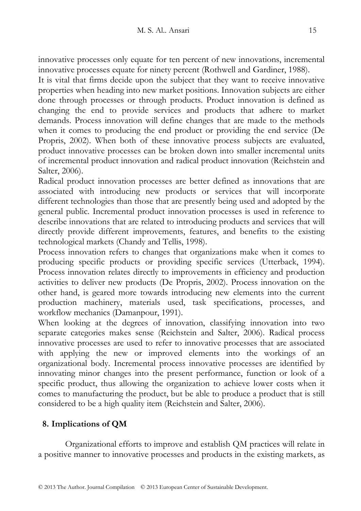innovative processes only equate for ten percent of new innovations, incremental innovative processes equate for ninety percent (Rothwell and Gardiner, 1988).

It is vital that firms decide upon the subject that they want to receive innovative properties when heading into new market positions. Innovation subjects are either done through processes or through products. Product innovation is defined as changing the end to provide services and products that adhere to market demands. Process innovation will define changes that are made to the methods when it comes to producing the end product or providing the end service (De Propris, 2002). When both of these innovative process subjects are evaluated, product innovative processes can be broken down into smaller incremental units of incremental product innovation and radical product innovation (Reichstein and Salter, 2006).

Radical product innovation processes are better defined as innovations that are associated with introducing new products or services that will incorporate different technologies than those that are presently being used and adopted by the general public. Incremental product innovation processes is used in reference to describe innovations that are related to introducing products and services that will directly provide different improvements, features, and benefits to the existing technological markets (Chandy and Tellis, 1998).

Process innovation refers to changes that organizations make when it comes to producing specific products or providing specific services (Utterback, 1994). Process innovation relates directly to improvements in efficiency and production activities to deliver new products (De Propris, 2002). Process innovation on the other hand, is geared more towards introducing new elements into the current production machinery, materials used, task specifications, processes, and workflow mechanics (Damanpour, 1991).

When looking at the degrees of innovation, classifying innovation into two separate categories makes sense (Reichstein and Salter, 2006). Radical process innovative processes are used to refer to innovative processes that are associated with applying the new or improved elements into the workings of an organizational body. Incremental process innovative processes are identified by innovating minor changes into the present performance, function or look of a specific product, thus allowing the organization to achieve lower costs when it comes to manufacturing the product, but be able to produce a product that is still considered to be a high quality item (Reichstein and Salter, 2006).

# **8. Implications of QM**

Organizational efforts to improve and establish QM practices will relate in a positive manner to innovative processes and products in the existing markets, as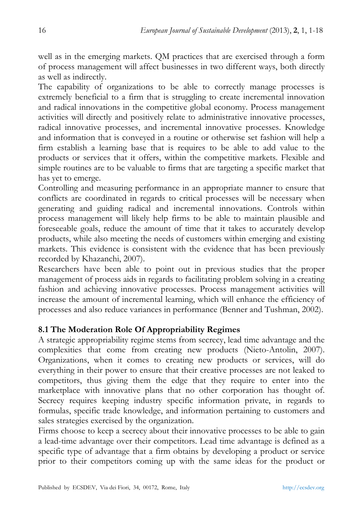well as in the emerging markets. QM practices that are exercised through a form of process management will affect businesses in two different ways, both directly as well as indirectly.

The capability of organizations to be able to correctly manage processes is extremely beneficial to a firm that is struggling to create incremental innovation and radical innovations in the competitive global economy. Process management activities will directly and positively relate to administrative innovative processes, radical innovative processes, and incremental innovative processes. Knowledge and information that is conveyed in a routine or otherwise set fashion will help a firm establish a learning base that is requires to be able to add value to the products or services that it offers, within the competitive markets. Flexible and simple routines are to be valuable to firms that are targeting a specific market that has yet to emerge.

Controlling and measuring performance in an appropriate manner to ensure that conflicts are coordinated in regards to critical processes will be necessary when generating and guiding radical and incremental innovations. Controls within process management will likely help firms to be able to maintain plausible and foreseeable goals, reduce the amount of time that it takes to accurately develop products, while also meeting the needs of customers within emerging and existing markets. This evidence is consistent with the evidence that has been previously recorded by Khazanchi, 2007).

Researchers have been able to point out in previous studies that the proper management of process aids in regards to facilitating problem solving in a creating fashion and achieving innovative processes. Process management activities will increase the amount of incremental learning, which will enhance the efficiency of processes and also reduce variances in performance (Benner and Tushman, 2002).

# **8.1 The Moderation Role Of Appropriability Regimes**

A strategic appropriability regime stems from secrecy, lead time advantage and the complexities that come from creating new products (Nieto-Antolin, 2007). Organizations, when it comes to creating new products or services, will do everything in their power to ensure that their creative processes are not leaked to competitors, thus giving them the edge that they require to enter into the marketplace with innovative plans that no other corporation has thought of. Secrecy requires keeping industry specific information private, in regards to formulas, specific trade knowledge, and information pertaining to customers and sales strategies exercised by the organization.

Firms choose to keep a secrecy about their innovative processes to be able to gain a lead-time advantage over their competitors. Lead time advantage is defined as a specific type of advantage that a firm obtains by developing a product or service prior to their competitors coming up with the same ideas for the product or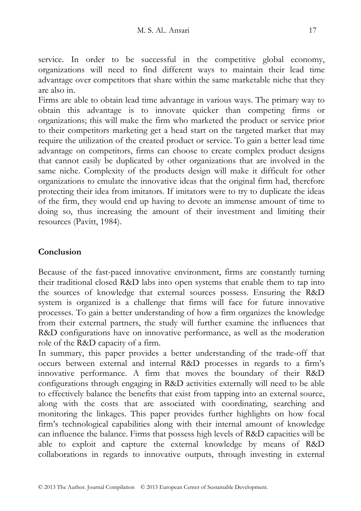service. In order to be successful in the competitive global economy, organizations will need to find different ways to maintain their lead time advantage over competitors that share within the same marketable niche that they are also in.

Firms are able to obtain lead time advantage in various ways. The primary way to obtain this advantage is to innovate quicker than competing firms or organizations; this will make the firm who marketed the product or service prior to their competitors marketing get a head start on the targeted market that may require the utilization of the created product or service. To gain a better lead time advantage on competitors, firms can choose to create complex product designs that cannot easily be duplicated by other organizations that are involved in the same niche. Complexity of the products design will make it difficult for other organizations to emulate the innovative ideas that the original firm had, therefore protecting their idea from imitators. If imitators were to try to duplicate the ideas of the firm, they would end up having to devote an immense amount of time to doing so, thus increasing the amount of their investment and limiting their resources (Pavitt, 1984).

## **Conclusion**

Because of the fast-paced innovative environment, firms are constantly turning their traditional closed R&D labs into open systems that enable them to tap into the sources of knowledge that external sources possess. Ensuring the R&D system is organized is a challenge that firms will face for future innovative processes. To gain a better understanding of how a firm organizes the knowledge from their external partners, the study will further examine the influences that R&D configurations have on innovative performance, as well as the moderation role of the R&D capacity of a firm.

In summary, this paper provides a better understanding of the trade-off that occurs between external and internal R&D processes in regards to a firm's innovative performance. A firm that moves the boundary of their R&D configurations through engaging in R&D activities externally will need to be able to effectively balance the benefits that exist from tapping into an external source, along with the costs that are associated with coordinating, searching and monitoring the linkages. This paper provides further highlights on how focal firm's technological capabilities along with their internal amount of knowledge can influence the balance. Firms that possess high levels of R&D capacities will be able to exploit and capture the external knowledge by means of R&D collaborations in regards to innovative outputs, through investing in external